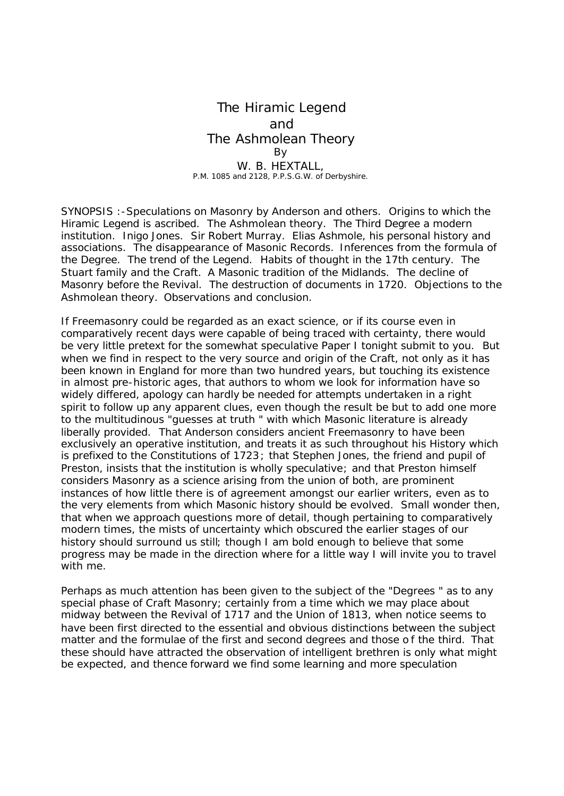## The Hiramic Legend and The Ashmolean Theory By W. B. HEXTALL, P.M. 1085 and 2128, P.P.S.G.W. of Derbyshire.

SYNOPSIS :-Speculations on Masonry by Anderson and others. Origins to which the Hiramic Legend is ascribed. The Ashmolean theory. The Third Degree a modern institution. Inigo Jones. Sir Robert Murray. Elias Ashmole, his personal history and associations. The disappearance of Masonic Records. Inferences from the formula of the Degree. The trend of the Legend. Habits of thought in the 17th century. The Stuart family and the Craft. A Masonic tradition of the Midlands. The decline of Masonry before the Revival. The destruction of documents in 1720. Objections to the Ashmolean theory. Observations and conclusion.

If Freemasonry could be regarded as an exact science, or if its course even in comparatively recent days were capable of being traced with certainty, there would be very little pretext for the somewhat speculative Paper I tonight submit to you. But when we find in respect to the very source and origin of the Craft, not only as it has been known in England for more than two hundred years, but touching its existence in almost pre-historic ages, that authors to whom we look for information have so widely differed, apology can hardly be needed for attempts undertaken in a right spirit to follow up any apparent clues, even though the result be but to add one more to the multitudinous "guesses at truth " with which Masonic literature is already liberally provided. That Anderson considers ancient Freemasonry to have been exclusively an operative institution, and treats it as such throughout his History which is prefixed to the Constitutions of 1723; that Stephen Jones, the friend and pupil of Preston, insists that the institution is wholly speculative; and that Preston himself considers Masonry as a science arising from the union of both, are prominent instances of how little there is of agreement amongst our earlier writers, even as to the very elements from which Masonic history should be evolved. Small wonder then, that when we approach questions more of detail, though pertaining to comparatively modern times, the mists of uncertainty which obscured the earlier stages of our history should surround us still; though I am bold enough to believe that some progress may be made in the direction where for a little way I will invite you to travel with me.

Perhaps as much attention has been given to the subject of the "Degrees " as to any special phase of Craft Masonry; certainly from a time which we may place about midway between the Revival of 1717 and the Union of 1813, when notice seems to have been first directed to the essential and obvious distinctions between the subject matter and the formulae of the first and second degrees and those o f the third. That these should have attracted the observation of intelligent brethren is only what might be expected, and thence forward we find some learning and more speculation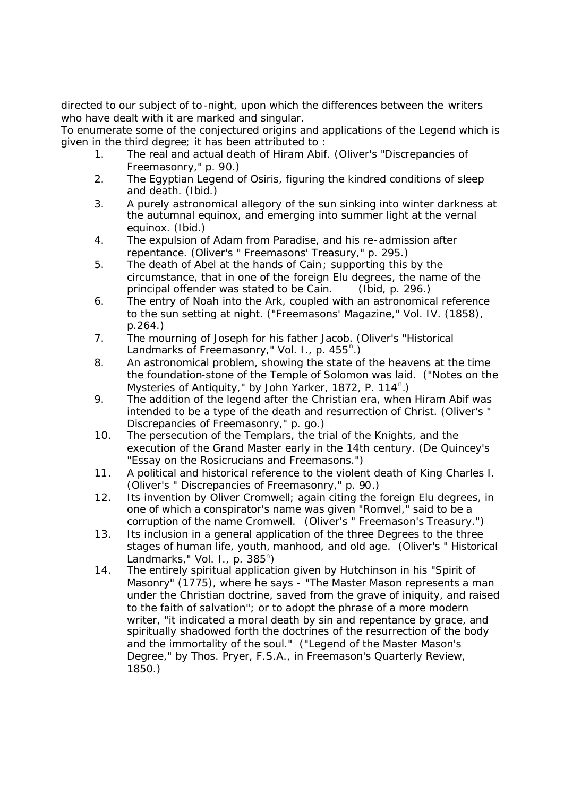directed to our subject of to-night, upon which the differences between the writers who have dealt with it are marked and singular.

To enumerate some of the conjectured origins and applications of the Legend which is given in the third degree; it has been attributed to :

- 1. The real and actual death of Hiram Abif. (Oliver's "Discrepancies of Freemasonry," p. 90.)
- 2. The Egyptian Legend of Osiris, figuring the kindred conditions of sleep and death. (Ibid.)
- 3. A purely astronomical allegory of the sun sinking into winter darkness at the autumnal equinox, and emerging into summer light at the vernal equinox. (Ibid.)
- 4. The expulsion of Adam from Paradise, and his re-admission after repentance. (Oliver's " Freemasons' Treasury," p. 295.)
- 5. The death of Abel at the hands of Cain; supporting this by the circumstance, that in one of the foreign Elu degrees, the name of the principal offender was stated to be Cain. (Ibid, p. 296.)
- 6. The entry of Noah into the Ark, coupled with an astronomical reference to the sun setting at night. ("Freemasons' Magazine," Vol. IV. (1858), p.264.)
- 7. The mourning of Joseph for his father Jacob. (Oliver's "Historical Landmarks of Freemasonry," Vol. I., p. 455*<sup>n</sup>* .)
- 8. An astronomical problem, showing the state of the heavens at the time the foundation-stone of the Temple of Solomon was laid. ("Notes on the Mysteries of Antiquity," by John Yarker, 1872, P. 114<sup>n</sup>.)
- 9. The addition of the legend after the Christian era, when Hiram Abif was intended to be a type of the death and resurrection of Christ. (Oliver's " Discrepancies of Freemasonry," p. go.)
- 10. The persecution of the Templars, the trial of the Knights, and the execution of the Grand Master early in the 14th century. (De Quincey's "Essay on the Rosicrucians and Freemasons.")
- 11. A political and historical reference to the violent death of King Charles I. (Oliver's " Discrepancies of Freemasonry," p. 90.)
- 12. Its invention by Oliver Cromwell; again citing the foreign Elu degrees, in one of which a conspirator's name was given "Romvel," said to be a corruption of the name Cromwell. (Oliver's " Freemason's Treasury.")
- 13. Its inclusion in a general application of the three Degrees to the three stages of human life, youth, manhood, and old age. (Oliver's " Historical Landmarks," Vol. I., p. 385*<sup>n</sup>* )
- 14. The entirely spiritual application given by Hutchinson in his "Spirit of Masonry" (1775), where he says - "The Master Mason represents a man under the Christian doctrine, saved from the grave of iniquity, and raised to the faith of salvation"; or to adopt the phrase of a more modern writer, "it indicated a moral death by sin and repentance by grace, and spiritually shadowed forth the doctrines of the resurrection of the body and the immortality of the soul." ("Legend of the Master Mason's Degree," by Thos. Pryer, F.S.A., in Freemason's Quarterly Review, 1850.)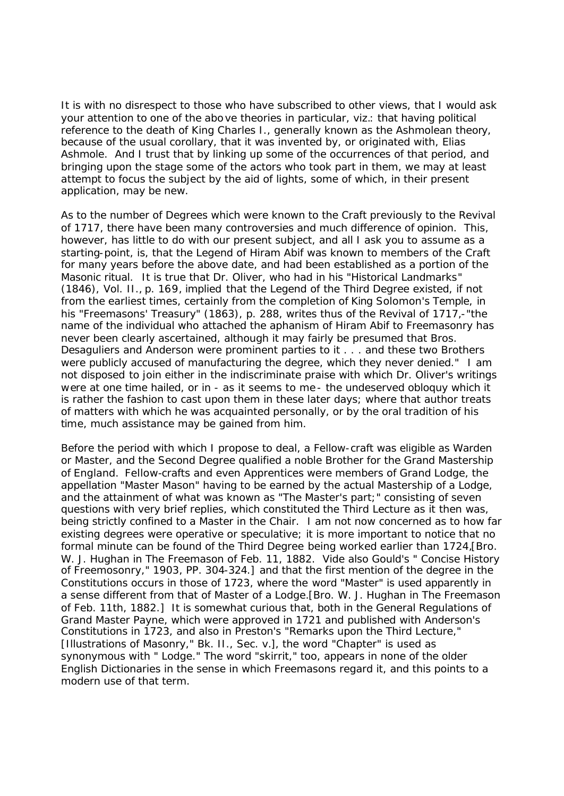It is with no disrespect to those who have subscribed to other views, that I would ask your attention to one of the above theories in particular, viz.: that having political reference to the death of King Charles I., generally known as the Ashmolean theory, because of the usual corollary, that it was invented by, or originated with, Elias Ashmole. And I trust that by linking up some of the occurrences of that period, and bringing upon the stage some of the actors who took part in them, we may at least attempt to focus the subject by the aid of lights, some of which, in their present application, may be new.

As to the number of Degrees which were known to the Craft previously to the Revival of 1717, there have been many controversies and much difference of opinion. This, however, has little to do with our present subject, and all I ask you to assume as a starting-point, is, that the Legend of Hiram Abif was known to members of the Craft for many years before the above date, and had been established as a portion of the Masonic ritual. It is true that Dr. Oliver, who had in his "Historical Landmarks" (1846), Vol. II., p. 169, implied that the Legend of the Third Degree existed, if not from the earliest times, certainly from the completion of King Solomon's Temple, in his "Freemasons' Treasury" (1863), p. 288, writes thus of the Revival of 1717,-"the name of the individual who attached the aphanism of Hiram Abif to Freemasonry has never been clearly ascertained, although it may fairly be presumed that Bros. Desaguliers and Anderson were prominent parties to it . . . and these two Brothers were publicly accused of manufacturing the degree, which they never denied." I am not disposed to join either in the indiscriminate praise with which Dr. Oliver's writings were at one time hailed, or in - as it seems to me- the undeserved obloquy which it is rather the fashion to cast upon them in these later days; where that author treats of matters with which he was acquainted personally, or by the oral tradition of his time, much assistance may be gained from him.

Before the period with which I propose to deal, a Fellow-craft was eligible as Warden or Master, and the Second Degree qualified a noble Brother for the Grand Mastership of England. Fellow-crafts and even Apprentices were members of Grand Lodge, the appellation "Master Mason" having to be earned by the actual Mastership of a Lodge, and the attainment of what was known as "The Master's part;" consisting of seven questions with very brief replies, which constituted the Third Lecture as it then was, being strictly confined to a Master in the Chair. I am not now concerned as to how far existing degrees were operative or speculative; it is more important to notice that no formal minute can be found of the Third Degree being worked earlier than 1724,[Bro. W. J. Hughan in The Freemason of Feb. 11, 1882. Vide also Gould's " Concise History of Freemosonry," 1903, PP. 304-324.] and that the first mention of the degree in the Constitutions occurs in those of 1723, where the word "Master" is used apparently in a sense different from that of Master of a Lodge.[Bro. W. J. Hughan in The Freemason of Feb. 11th, 1882.] It is somewhat curious that, both in the General Regulations of Grand Master Payne, which were approved in 1721 and published with Anderson's Constitutions in 1723, and also in Preston's "Remarks upon the Third Lecture," [Illustrations of Masonry," Bk. II., Sec. v.], the word "Chapter" is used as synonymous with " Lodge." The word "skirrit," too, appears in none of the older English Dictionaries in the sense in which Freemasons regard it, and this points to a modern use of that term.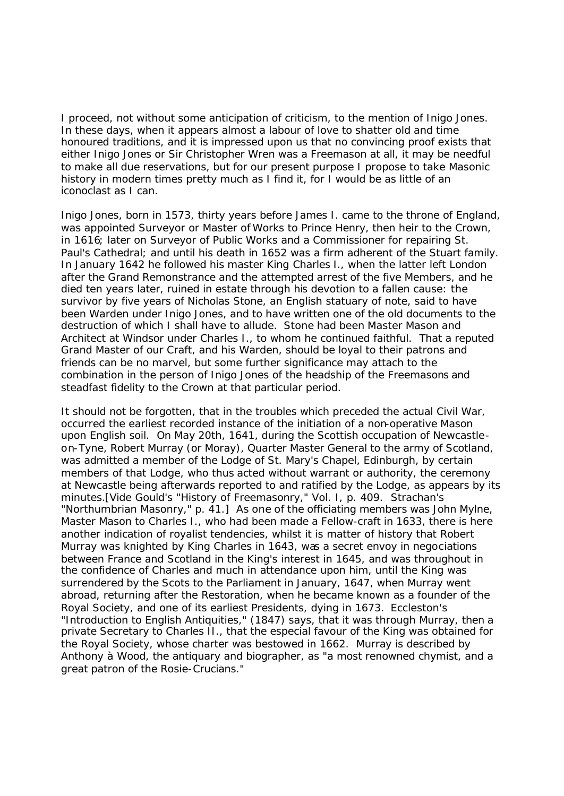I proceed, not without some anticipation of criticism, to the mention of Inigo Jones. In these days, when it appears almost a labour of love to shatter old and time honoured traditions, and it is impressed upon us that no convincing proof exists that either Inigo Jones or Sir Christopher Wren was a Freemason at all, it may be needful to make all due reservations, but for our present purpose I propose to take Masonic history in modern times pretty much as I find it, for I would be as little of an iconoclast as I can.

Inigo Jones, born in 1573, thirty years before James I. came to the throne of England, was appointed Surveyor or Master of Works to Prince Henry, then heir to the Crown, in 1616; later on Surveyor of Public Works and a Commissioner for repairing St. Paul's Cathedral; and until his death in 1652 was a firm adherent of the Stuart family. In January 1642 he followed his master King Charles I., when the latter left London after the Grand Remonstrance and the attempted arrest of the five Members, and he died ten years later, ruined in estate through his devotion to a fallen cause: the survivor by five years of Nicholas Stone, an English statuary of note, said to have been Warden under Inigo Jones, and to have written one of the old documents to the destruction of which I shall have to allude. Stone had been Master Mason and Architect at Windsor under Charles I., to whom he continued faithful. That a reputed Grand Master of our Craft, and his Warden, should be loyal to their patrons and friends can be no marvel, but some further significance may attach to the combination in the person of Inigo Jones of the headship of the Freemasons and steadfast fidelity to the Crown at that particular period.

It should not be forgotten, that in the troubles which preceded the actual Civil War, occurred the earliest recorded instance of the initiation of a non-operative Mason upon English soil. On May 20th, 1641, during the Scottish occupation of Newcastleon-Tyne, Robert Murray (or Moray), Quarter Master General to the army of Scotland, was admitted a member of the Lodge of St. Mary's Chapel, Edinburgh, by certain members of that Lodge, who thus acted without warrant or authority, the ceremony at Newcastle being afterwards reported to and ratified by the Lodge, as appears by its minutes.[Vide Gould's "History of Freemasonry," Vol. I, p. 409. Strachan's "Northumbrian Masonry," p. 41.] As one of the officiating members was John Mylne, Master Mason to Charles I., who had been made a Fellow-craft in 1633, there is here another indication of royalist tendencies, whilst it is matter of history that Robert Murray was knighted by King Charles in 1643, was a secret envoy in negociations between France and Scotland in the King's interest in 1645, and was throughout in the confidence of Charles and much in attendance upon him, until the King was surrendered by the Scots to the Parliament in January, 1647, when Murray went abroad, returning after the Restoration, when he became known as a founder of the Royal Society, and one of its earliest Presidents, dying in 1673. Eccleston's "Introduction to English Antiquities," (1847) says, that it was through Murray, then a private Secretary to Charles II., that the especial favour of the King was obtained for the Royal Society, whose charter was bestowed in 1662. Murray is described by Anthony à Wood, the antiquary and biographer, as "a most renowned chymist, and a great patron of the Rosie-Crucians."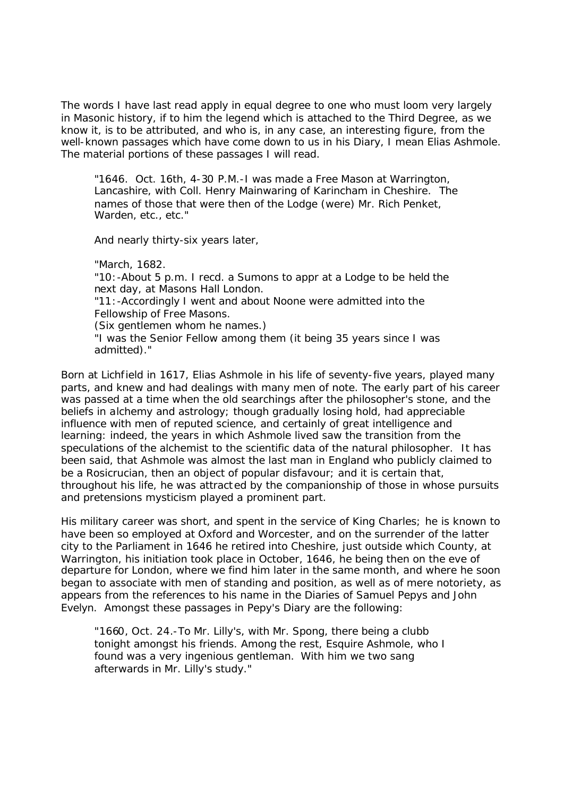The words I have last read apply in equal degree to one who must loom very largely in Masonic history, if to him the legend which is attached to the Third Degree, as we know it, is to be attributed, and who is, in any case, an interesting figure, from the well-known passages which have come down to us in his Diary, I mean Elias Ashmole. The material portions of these passages I will read.

"1646. Oct. 16th, 4-30 P.M.-I was made a Free Mason at Warrington, Lancashire, with Coll. Henry Mainwaring of Karincham in Cheshire. The names of those that were then of the Lodge (were) Mr. Rich Penket, Warden, etc., etc."

And nearly thirty-six years later,

"March, 1682.

"10:-About 5 p.m. I recd. a Sumons to appr at a Lodge to be held the next day, at Masons Hall London.

"11:-Accordingly I went and about Noone were admitted into the Fellowship of Free Masons.

(Six gentlemen whom he names.)

"I was the Senior Fellow among them (it being 35 years since I was admitted)."

Born at Lichfield in 1617, Elias Ashmole in his life of seventy-five years, played many parts, and knew and had dealings with many men of note. The early part of his career was passed at a time when the old searchings after the philosopher's stone, and the beliefs in alchemy and astrology; though gradually losing hold, had appreciable influence with men of reputed science, and certainly of great intelligence and learning: indeed, the years in which Ashmole lived saw the transition from the speculations of the alchemist to the scientific data of the natural philosopher. It has been said, that Ashmole was almost the last man in England who publicly claimed to be a Rosicrucian, then an object of popular disfavour; and it is certain that, throughout his life, he was attracted by the companionship of those in whose pursuits and pretensions mysticism played a prominent part.

His military career was short, and spent in the service of King Charles; he is known to have been so employed at Oxford and Worcester, and on the surrender of the latter city to the Parliament in 1646 he retired into Cheshire, just outside which County, at Warrington, his initiation took place in October, 1646, he being then on the eve of departure for London, where we find him later in the same month, and where he soon began to associate with men of standing and position, as well as of mere notoriety, as appears from the references to his name in the Diaries of Samuel Pepys and John Evelyn. Amongst these passages in Pepy's Diary are the following:

"1660, Oct. 24.-To Mr. Lilly's, with Mr. Spong, there being a clubb tonight amongst his friends. Among the rest, Esquire Ashmole, who I found was a very ingenious gentleman. With him we two sang afterwards in Mr. Lilly's study."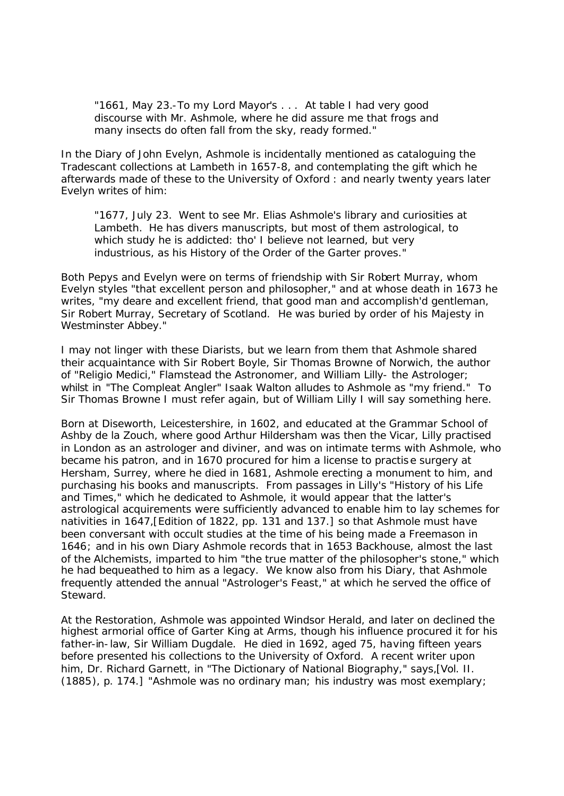"1661, May 23.-To my Lord Mayor's . . . At table I had very good discourse with Mr. Ashmole, where he did assure me that frogs and many insects do often fall from the sky, ready formed."

In the Diary of John Evelyn, Ashmole is incidentally mentioned as cataloguing the Tradescant collections at Lambeth in 1657-8, and contemplating the gift which he afterwards made of these to the University of Oxford : and nearly twenty years later Evelyn writes of him:

"1677, July 23. Went to see Mr. Elias Ashmole's library and curiosities at Lambeth. He has divers manuscripts, but most of them astrological, to which study he is addicted: tho' I believe not learned, but very industrious, as his History of the Order of the Garter proves."

Both Pepys and Evelyn were on terms of friendship with Sir Robert Murray, whom Evelyn styles "that excellent person and philosopher," and at whose death in 1673 he writes, "my deare and excellent friend, that good man and accomplish'd gentleman, Sir Robert Murray, Secretary of Scotland. He was buried by order of his Majesty in Westminster Abbey."

I may not linger with these Diarists, but we learn from them that Ashmole shared their acquaintance with Sir Robert Boyle, Sir Thomas Browne of Norwich, the author of "Religio Medici," Flamstead the Astronomer, and William Lilly- the Astrologer; whilst in "The Compleat Angler" Isaak Walton alludes to Ashmole as "my friend." To Sir Thomas Browne I must refer again, but of William Lilly I will say something here.

Born at Diseworth, Leicestershire, in 1602, and educated at the Grammar School of Ashby de la Zouch, where good Arthur Hildersham was then the Vicar, Lilly practised in London as an astrologer and diviner, and was on intimate terms with Ashmole, who became his patron, and in 1670 procured for him a license to practise surgery at Hersham, Surrey, where he died in 1681, Ashmole erecting a monument to him, and purchasing his books and manuscripts. From passages in Lilly's "History of his Life and Times," which he dedicated to Ashmole, it would appear that the latter's astrological acquirements were sufficiently advanced to enable him to lay schemes for nativities in 1647,[Edition of 1822, pp. 131 and 137.] so that Ashmole must have been conversant with occult studies at the time of his being made a Freemason in 1646; and in his own Diary Ashmole records that in 1653 Backhouse, almost the last of the Alchemists, imparted to him "the true matter of the philosopher's stone," which he had bequeathed to him as a legacy. We know also from his Diary, that Ashmole frequently attended the annual "Astrologer's Feast," at which he served the office of Steward.

At the Restoration, Ashmole was appointed Windsor Herald, and later on declined the highest armorial office of Garter King at Arms, though his influence procured it for his father-in-law, Sir William Dugdale. He died in 1692, aged 75, having fifteen years before presented his collections to the University of Oxford. A recent writer upon him, Dr. Richard Garnett, in "The Dictionary of National Biography," says,[Vol. II. (1885), p. 174.] "Ashmole was no ordinary man; his industry was most exemplary;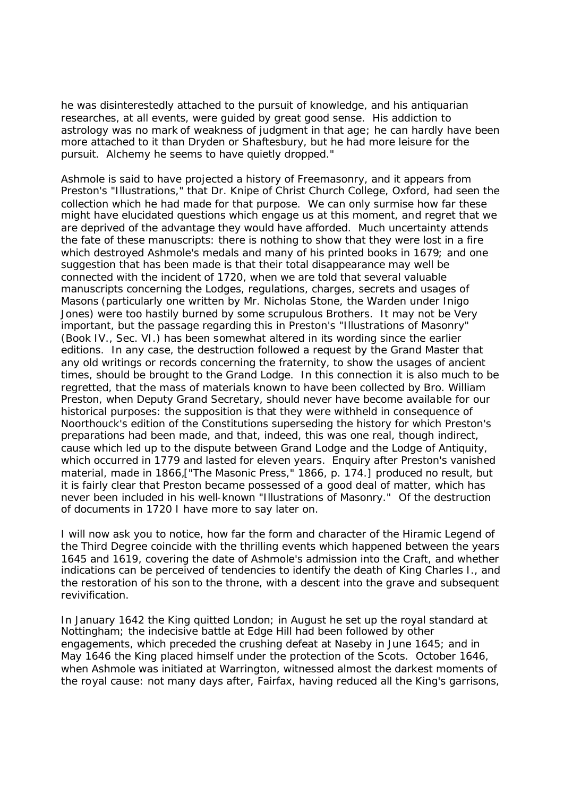he was disinterestedly attached to the pursuit of knowledge, and his antiquarian researches, at all events, were guided by great good sense. His addiction to astrology was no mark of weakness of judgment in that age; he can hardly have been more attached to it than Dryden or Shaftesbury, but he had more leisure for the pursuit. Alchemy he seems to have quietly dropped."

Ashmole is said to have projected a history of Freemasonry, and it appears from Preston's "Illustrations," that Dr. Knipe of Christ Church College, Oxford, had seen the collection which he had made for that purpose. We can only surmise how far these might have elucidated questions which engage us at this moment, and regret that we are deprived of the advantage they would have afforded. Much uncertainty attends the fate of these manuscripts: there is nothing to show that they were lost in a fire which destroyed Ashmole's medals and many of his printed books in 1679; and one suggestion that has been made is that their total disappearance may well be connected with the incident of 1720, when we are told that several valuable manuscripts concerning the Lodges, regulations, charges, secrets and usages of Masons (particularly one written by Mr. Nicholas Stone, the Warden under Inigo Jones) were too hastily burned by some scrupulous Brothers. It may not be Very important, but the passage regarding this in Preston's "Illustrations of Masonry" (Book IV., Sec. VI.) has been somewhat altered in its wording since the earlier editions. In any case, the destruction followed a request by the Grand Master that any old writings or records concerning the fraternity, to show the usages of ancient times, should be brought to the Grand Lodge. In this connection it is also much to be regretted, that the mass of materials known to have been collected by Bro. William Preston, when Deputy Grand Secretary, should never have become available for our historical purposes: the supposition is that they were withheld in consequence of Noorthouck's edition of the Constitutions superseding the history for which Preston's preparations had been made, and that, indeed, this was one real, though indirect, cause which led up to the dispute between Grand Lodge and the Lodge of Antiquity, which occurred in 1779 and lasted for eleven years. Enquiry after Preston's vanished material, made in 1866,["The Masonic Press," 1866, p. 174.] produced no result, but it is fairly clear that Preston became possessed of a good deal of matter, which has never been included in his well-known "Illustrations of Masonry." Of the destruction of documents in 1720 I have more to say later on.

I will now ask you to notice, how far the form and character of the Hiramic Legend of the Third Degree coincide with the thrilling events which happened between the years 1645 and 1619, covering the date of Ashmole's admission into the Craft, and whether indications can be perceived of tendencies to identify the death of King Charles I., and the restoration of his son to the throne, with a descent into the grave and subsequent revivification.

In January 1642 the King quitted London; in August he set up the royal standard at Nottingham; the indecisive battle at Edge Hill had been followed by other engagements, which preceded the crushing defeat at Naseby in June 1645; and in May 1646 the King placed himself under the protection of the Scots. October 1646, when Ashmole was initiated at Warrington, witnessed almost the darkest moments of the royal cause: not many days after, Fairfax, having reduced all the King's garrisons,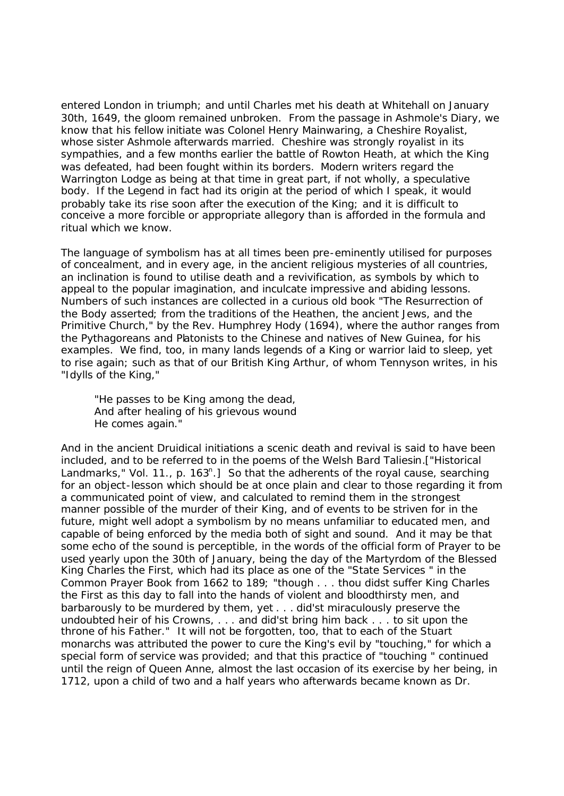entered London in triumph; and until Charles met his death at Whitehall on January 30th, 1649, the gloom remained unbroken. From the passage in Ashmole's Diary, we know that his fellow initiate was Colonel Henry Mainwaring, a Cheshire Royalist, whose sister Ashmole afterwards married. Cheshire was strongly royalist in its sympathies, and a few months earlier the battle of Rowton Heath, at which the King was defeated, had been fought within its borders. Modern writers regard the Warrington Lodge as being at that time in great part, if not wholly, a speculative body. If the Legend in fact had its origin at the period of which I speak, it would probably take its rise soon after the execution of the King; and it is difficult to conceive a more forcible or appropriate allegory than is afforded in the formula and ritual which we know.

The language of symbolism has at all times been pre-eminently utilised for purposes of concealment, and in every age, in the ancient religious mysteries of all countries, an inclination is found to utilise death and a revivification, as symbols by which to appeal to the popular imagination, and inculcate impressive and abiding lessons. Numbers of such instances are collected in a curious old book "The Resurrection of the Body asserted; from the traditions of the Heathen, the ancient Jews, and the Primitive Church," by the Rev. Humphrey Hody (1694), where the author ranges from the Pythagoreans and Platonists to the Chinese and natives of New Guinea, for his examples. We find, too, in many lands legends of a King or warrior laid to sleep, yet to rise again; such as that of our British King Arthur, of whom Tennyson writes, in his "Idylls of the King,"

"He passes to be King among the dead, And after healing of his grievous wound He comes again."

And in the ancient Druidical initiations a scenic death and revival is said to have been included, and to be referred to in the poems of the Welsh Bard Taliesin.["Historical Landmarks," Vol. 11., p. 163<sup>n</sup>.] So that the adherents of the royal cause, searching for an object-lesson which should be at once plain and clear to those regarding it from a communicated point of view, and calculated to remind them in the strongest manner possible of the murder of their King, and of events to be striven for in the future, might well adopt a symbolism by no means unfamiliar to educated men, and capable of being enforced by the media both of sight and sound. And it may be that some echo of the sound is perceptible, in the words of the official form of Prayer to be used yearly upon the 30th of January, being the day of the Martyrdom of the Blessed King Charles the First, which had its place as one of the "State Services " in the Common Prayer Book from 1662 to 189; "though . . . thou didst suffer King Charles the First as this day to fall into the hands of violent and bloodthirsty men, and barbarously to be murdered by them, yet . . . did'st miraculously preserve the undoubted heir of his Crowns, . . . and did'st bring him back . . . to sit upon the throne of his Father." It will not be forgotten, too, that to each of the Stuart monarchs was attributed the power to cure the King's evil by "touching," for which a special form of service was provided; and that this practice of "touching " continued until the reign of Queen Anne, almost the last occasion of its exercise by her being, in 1712, upon a child of two and a half years who afterwards became known as Dr.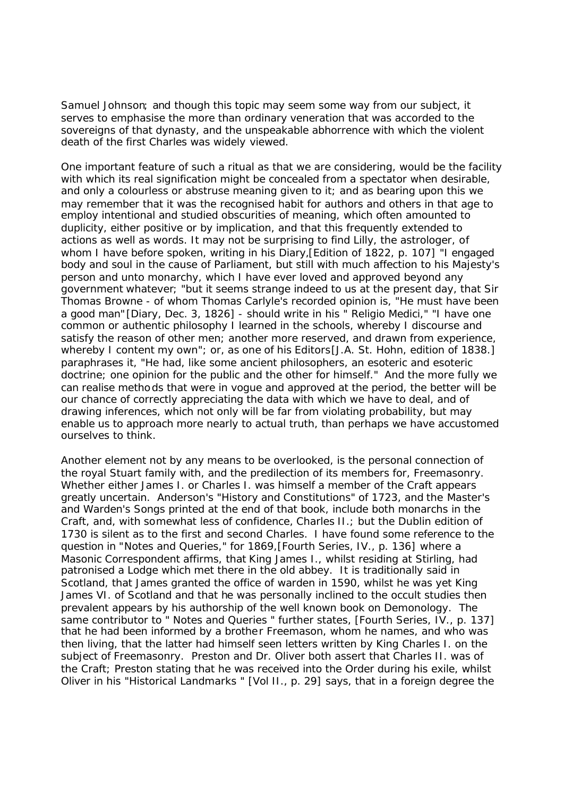Samuel Johnson; and though this topic may seem some way from our subject, it serves to emphasise the more than ordinary veneration that was accorded to the sovereigns of that dynasty, and the unspeakable abhorrence with which the violent death of the first Charles was widely viewed.

One important feature of such a ritual as that we are considering, would be the facility with which its real signification might be concealed from a spectator when desirable, and only a colourless or abstruse meaning given to it; and as bearing upon this we may remember that it was the recognised habit for authors and others in that age to employ intentional and studied obscurities of meaning, which often amounted to duplicity, either positive or by implication, and that this frequently extended to actions as well as words. It may not be surprising to find Lilly, the astrologer, of whom I have before spoken, writing in his Diary,[Edition of 1822, p. 107] "I engaged body and soul in the cause of Parliament, but still with much affection to his Majesty's person and unto monarchy, which I have ever loved and approved beyond any government whatever; "but it seems strange indeed to us at the present day, that Sir Thomas Browne - of whom Thomas Carlyle's recorded opinion is, "He must have been a good man"[Diary, Dec. 3, 1826] - should write in his " Religio Medici," "I have one common or authentic philosophy I learned in the schools, whereby I discourse and satisfy the reason of other men; another more reserved, and drawn from experience, whereby I content my own"; or, as one of his Editors[J.A. St. Hohn, edition of 1838.] paraphrases it, "He had, like some ancient philosophers, an esoteric and esoteric doctrine; one opinion for the public and the other for himself." And the more fully we can realise methods that were in vogue and approved at the period, the better will be our chance of correctly appreciating the data with which we have to deal, and of drawing inferences, which not only will be far from violating probability, but may enable us to approach more nearly to actual truth, than perhaps we have accustomed ourselves to think.

Another element not by any means to be overlooked, is the personal connection of the royal Stuart family with, and the predilection of its members for, Freemasonry. Whether either James I. or Charles I. was himself a member of the Craft appears greatly uncertain. Anderson's "History and Constitutions" of 1723, and the Master's and Warden's Songs printed at the end of that book, include both monarchs in the Craft, and, with somewhat less of confidence, Charles II.; but the Dublin edition of 1730 is silent as to the first and second Charles. I have found some reference to the question in "Notes and Queries," for 1869,[Fourth Series, IV., p. 136] where a Masonic Correspondent affirms, that King James I., whilst residing at Stirling, had patronised a Lodge which met there in the old abbey. It is traditionally said in Scotland, that James granted the office of warden in 1590, whilst he was yet King James VI. of Scotland and that he was personally inclined to the occult studies then prevalent appears by his authorship of the well known book on Demonology. The same contributor to " Notes and Queries " further states, [Fourth Series, IV., p. 137] that he had been informed by a brother Freemason, whom he names, and who was then living, that the latter had himself seen letters written by King Charles I. on the subject of Freemasonry. Preston and Dr. Oliver both assert that Charles II. was of the Craft; Preston stating that he was received into the Order during his exile, whilst Oliver in his "Historical Landmarks " [Vol II., p. 29] says, that in a foreign degree the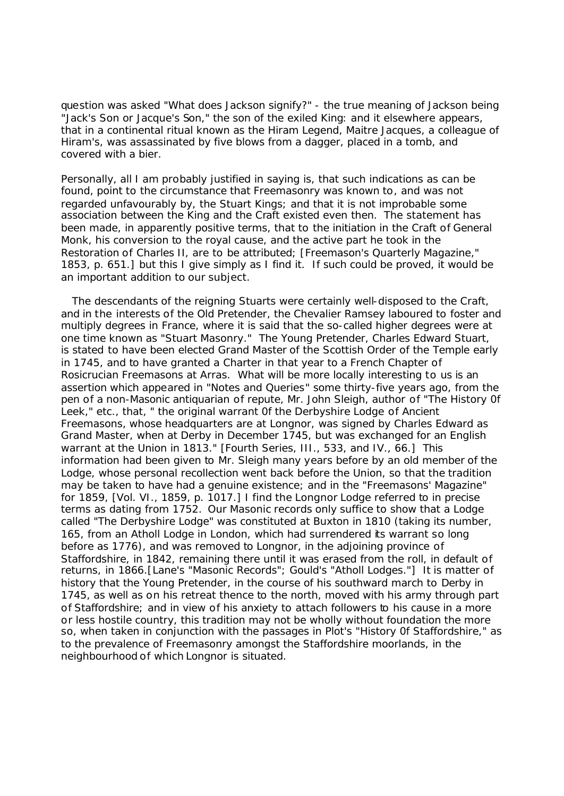question was asked "What does Jackson signify?" - the true meaning of Jackson being "Jack's Son or Jacque's Son," the son of the exiled King: and it elsewhere appears, that in a continental ritual known as the Hiram Legend, Maitre Jacques, a colleague of Hiram's, was assassinated by five blows from a dagger, placed in a tomb, and covered with a bier.

Personally, all I am probably justified in saying is, that such indications as can be found, point to the circumstance that Freemasonry was known to, and was not regarded unfavourably by, the Stuart Kings; and that it is not improbable some association between the King and the Craft existed even then. The statement has been made, in apparently positive terms, that to the initiation in the Craft of General Monk, his conversion to the royal cause, and the active part he took in the Restoration of Charles II, are to be attributed; [Freemason's Quarterly Magazine," 1853, p. 651.] but this I give simply as I find it. If such could be proved, it would be an important addition to our subject.

 The descendants of the reigning Stuarts were certainly well-disposed to the Craft, and in the interests of the Old Pretender, the Chevalier Ramsey laboured to foster and multiply degrees in France, where it is said that the so-called higher degrees were at one time known as "Stuart Masonry." The Young Pretender, Charles Edward Stuart, is stated to have been elected Grand Master of the Scottish Order of the Temple early in 1745, and to have granted a Charter in that year to a French Chapter of Rosicrucian Freemasons at Arras. What will be more locally interesting to us is an assertion which appeared in "Notes and Queries" some thirty-five years ago, from the pen of a non-Masonic antiquarian of repute, Mr. John Sleigh, author of "The History 0f Leek," etc., that, " the original warrant 0f the Derbyshire Lodge of Ancient Freemasons, whose headquarters are at Longnor, was signed by Charles Edward as Grand Master, when at Derby in December 1745, but was exchanged for an English warrant at the Union in 1813." [Fourth Series, III., 533, and IV., 66.] This information had been given to Mr. Sleigh many years before by an old member of the Lodge, whose personal recollection went back before the Union, so that the tradition may be taken to have had a genuine existence; and in the "Freemasons' Magazine" for 1859, [Vol. VI., 1859, p. 1017.] I find the Longnor Lodge referred to in precise terms as dating from 1752. Our Masonic records only suffice to show that a Lodge called "The Derbyshire Lodge" was constituted at Buxton in 1810 (taking its number, 165, from an Atholl Lodge in London, which had surrendered its warrant so long before as 1776), and was removed to Longnor, in the adjoining province of Staffordshire, in 1842, remaining there until it was erased from the roll, in default of returns, in 1866.[Lane's "Masonic Records"; Gould's "Atholl Lodges."] It is matter of history that the Young Pretender, in the course of his southward march to Derby in 1745, as well as on his retreat thence to the north, moved with his army through part of Staffordshire; and in view of his anxiety to attach followers to his cause in a more or less hostile country, this tradition may not be wholly without foundation the more so, when taken in conjunction with the passages in Plot's "History Of Staffordshire," as to the prevalence of Freemasonry amongst the Staffordshire moorlands, in the neighbourhood of which Longnor is situated.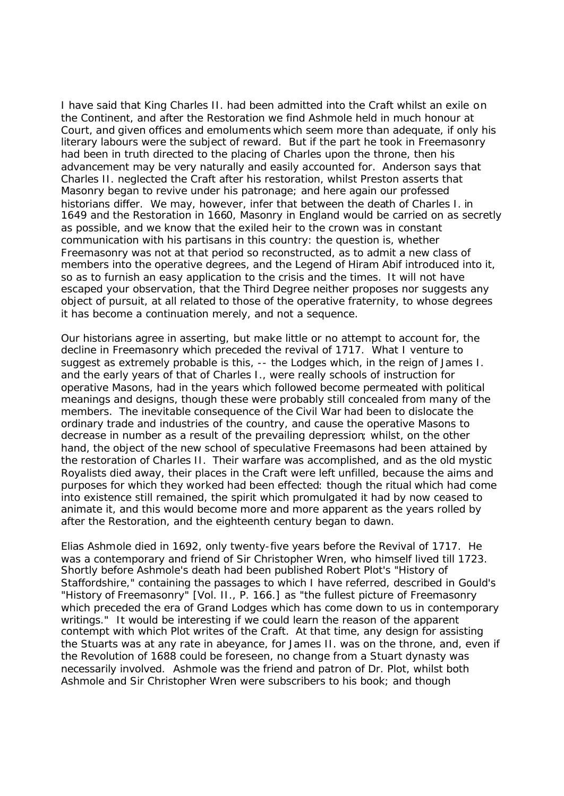I have said that King Charles II. had been admitted into the Craft whilst an exile on the Continent, and after the Restoration we find Ashmole held in much honour at Court, and given offices and emoluments which seem more than adequate, if only his literary labours were the subject of reward. But if the part he took in Freemasonry had been in truth directed to the placing of Charles upon the throne, then his advancement may be very naturally and easily accounted for. Anderson says that Charles II. neglected the Craft after his restoration, whilst Preston asserts that Masonry began to revive under his patronage; and here again our professed historians differ. We may, however, infer that between the death of Charles I. in 1649 and the Restoration in 1660, Masonry in England would be carried on as secretly as possible, and we know that the exiled heir to the crown was in constant communication with his partisans in this country: the question is, whether Freemasonry was not at that period so reconstructed, as to admit a new class of members into the operative degrees, and the Legend of Hiram Abif introduced into it, so as to furnish an easy application to the crisis and the times. It will not have escaped your observation, that the Third Degree neither proposes nor suggests any object of pursuit, at all related to those of the operative fraternity, to whose degrees it has become a continuation merely, and not a sequence.

Our historians agree in asserting, but make little or no attempt to account for, the decline in Freemasonry which preceded the revival of 1717. What I venture to suggest as extremely probable is this, -- the Lodges which, in the reign of James I. and the early years of that of Charles I., were really schools of instruction for operative Masons, had in the years which followed become permeated with political meanings and designs, though these were probably still concealed from many of the members. The inevitable consequence of the Civil War had been to dislocate the ordinary trade and industries of the country, and cause the operative Masons to decrease in number as a result of the prevailing depression; whilst, on the other hand, the object of the new school of speculative Freemasons had been attained by the restoration of Charles II. Their warfare was accomplished, and as the old mystic Royalists died away, their places in the Craft were left unfilled, because the aims and purposes for which they worked had been effected: though the ritual which had come into existence still remained, the spirit which promulgated it had by now ceased to animate it, and this would become more and more apparent as the years rolled by after the Restoration, and the eighteenth century began to dawn.

Elias Ashmole died in 1692, only twenty-five years before the Revival of 1717. He was a contemporary and friend of Sir Christopher Wren, who himself lived till 1723. Shortly before Ashmole's death had been published Robert Plot's "History of Staffordshire," containing the passages to which I have referred, described in Gould's "History of Freemasonry" [Vol. II., P. 166.] as "the fullest picture of Freemasonry which preceded the era of Grand Lodges which has come down to us in contemporary writings." It would be interesting if we could learn the reason of the apparent contempt with which Plot writes of the Craft. At that time, any design for assisting the Stuarts was at any rate in abeyance, for James II. was on the throne, and, even if the Revolution of 1688 could be foreseen, no change from a Stuart dynasty was necessarily involved. Ashmole was the friend and patron of Dr. Plot, whilst both Ashmole and Sir Christopher Wren were subscribers to his book; and though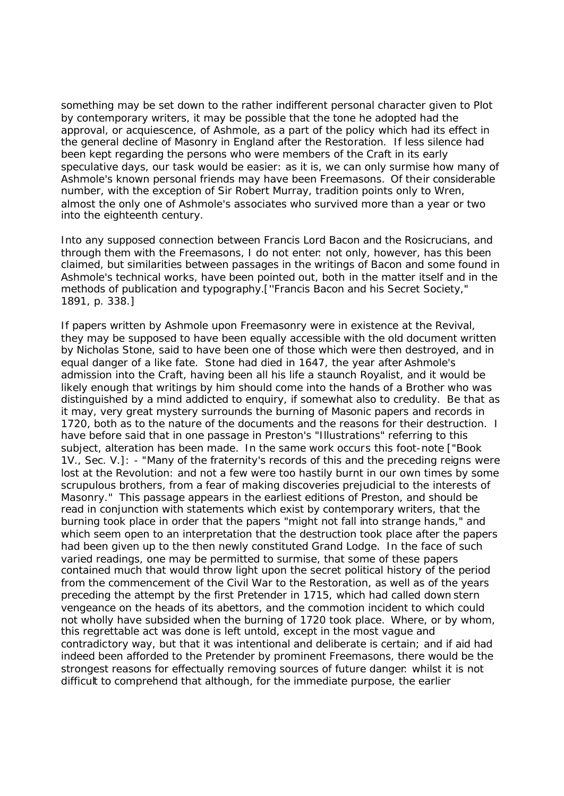something may be set down to the rather indifferent personal character given to Plot by contemporary writers, it may be possible that the tone he adopted had the approval, or acquiescence, of Ashmole, as a part of the policy which had its effect in the general decline of Masonry in England after the Restoration. If less silence had been kept regarding the persons who were members of the Craft in its early speculative days, our task would be easier: as it is, we can only surmise how many of Ashmole's known personal friends may have been Freemasons. Of their considerable number, with the exception of Sir Robert Murray, tradition points only to Wren, almost the only one of Ashmole's associates who survived more than a year or two into the eighteenth century.

Into any supposed connection between Francis Lord Bacon and the Rosicrucians, and through them with the Freemasons, I do not enter: not only, however, has this been claimed, but similarities between passages in the writings of Bacon and some found in Ashmole's technical works, have been pointed out, both in the matter itself and in the methods of publication and typography.[''Francis Bacon and his Secret Society," 1891, p. 338.]

If papers written by Ashmole upon Freemasonry were in existence at the Revival, they may be supposed to have been equally accessible with the old document written by Nicholas Stone, said to have been one of those which were then destroyed, and in equal danger of a like fate. Stone had died in 1647, the year after Ashmole's admission into the Craft, having been all his life a staunch Royalist, and it would be likely enough that writings by him should come into the hands of a Brother who was distinguished by a mind addicted to enquiry, if somewhat also to credulity. Be that as it may, very great mystery surrounds the burning of Masonic papers and records in 1720, both as to the nature of the documents and the reasons for their destruction. I have before said that in one passage in Preston's "Illustrations" referring to this subject, alteration has been made. In the same work occurs this foot-note ["Book 1V., Sec. V.]: - "Many of the fraternity's records of this and the preceding reigns were lost at the Revolution: and not a few were too hastily burnt in our own times by some scrupulous brothers, from a fear of making discoveries prejudicial to the interests of Masonry." This passage appears in the earliest editions of Preston, and should be read in conjunction with statements which exist by contemporary writers, that the burning took place in order that the papers "might not fall into strange hands," and which seem open to an interpretation that the destruction took place after the papers had been given up to the then newly constituted Grand Lodge. In the face of such varied readings, one may be permitted to surmise, that some of these papers contained much that would throw light upon the secret political history of the period from the commencement of the Civil War to the Restoration, as well as of the years preceding the attempt by the first Pretender in 1715, which had called down stern vengeance on the heads of its abettors, and the commotion incident to which could not wholly have subsided when the burning of 1720 took place. Where, or by whom, this regrettable act was done is left untold, except in the most vague and contradictory way, but that it was intentional and deliberate is certain; and if aid had indeed been afforded to the Pretender by prominent Freemasons, there would be the strongest reasons for effectually removing sources of future danger: whilst it is not difficult to comprehend that although, for the immediate purpose, the earlier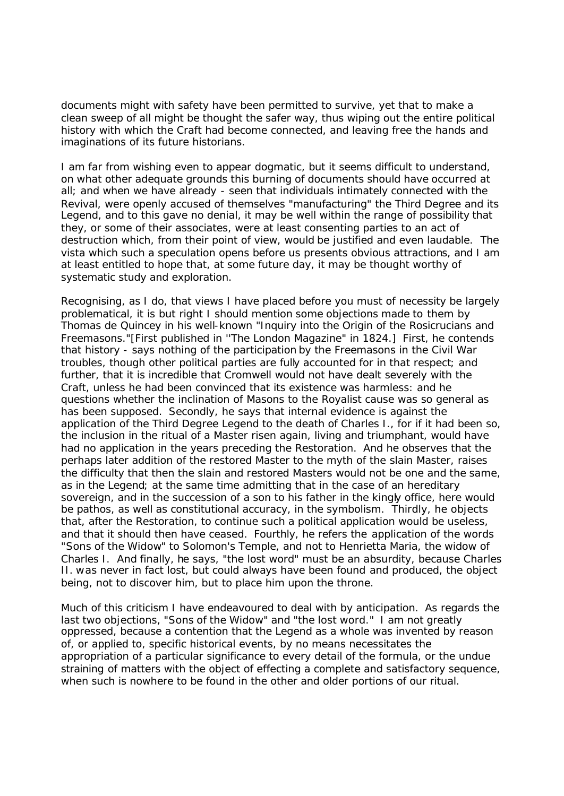documents might with safety have been permitted to survive, yet that to make a clean sweep of all might be thought the safer way, thus wiping out the entire political history with which the Craft had become connected, and leaving free the hands and imaginations of its future historians.

I am far from wishing even to appear dogmatic, but it seems difficult to understand, on what other adequate grounds this burning of documents should have occurred at all; and when we have already - seen that individuals intimately connected with the Revival, were openly accused of themselves "manufacturing" the Third Degree and its Legend, and to this gave no denial, it may be well within the range of possibility that they, or some of their associates, were at least consenting parties to an act of destruction which, from their point of view, would be justified and even laudable. The vista which such a speculation opens before us presents obvious attractions, and I am at least entitled to hope that, at some future day, it may be thought worthy of systematic study and exploration.

Recognising, as I do, that views I have placed before you must of necessity be largely problematical, it is but right I should mention some objections made to them by Thomas de Quincey in his well-known "Inquiry into the Origin of the Rosicrucians and Freemasons."[First published in ''The London Magazine" in 1824.] First, he contends that history - says nothing of the participation by the Freemasons in the Civil War troubles, though other political parties are fully accounted for in that respect; and further, that it is incredible that Cromwell would not have dealt severely with the Craft, unless he had been convinced that its existence was harmless: and he questions whether the inclination of Masons to the Royalist cause was so general as has been supposed. Secondly, he says that internal evidence is against the application of the Third Degree Legend to the death of Charles I., for if it had been so, the inclusion in the ritual of a Master risen again, living and triumphant, would have had no application in the years preceding the Restoration. And he observes that the perhaps later addition of the restored Master to the myth of the slain Master, raises the difficulty that then the slain and restored Masters would not be one and the same, as in the Legend; at the same time admitting that in the case of an hereditary sovereign, and in the succession of a son to his father in the kingly office, here would be pathos, as well as constitutional accuracy, in the symbolism. Thirdly, he objects that, after the Restoration, to continue such a political application would be useless, and that it should then have ceased. Fourthly, he refers the application of the words "Sons of the Widow" to Solomon's Temple, and not to Henrietta Maria, the widow of Charles I. And finally, he says, "the lost word" must be an absurdity, because Charles II. was never in fact lost, but could always have been found and produced, the object being, not to discover him, but to place him upon the throne.

Much of this criticism I have endeavoured to deal with by anticipation. As regards the last two objections, "Sons of the Widow" and "the lost word." I am not greatly oppressed, because a contention that the Legend as a whole was invented by reason of, or applied to, specific historical events, by no means necessitates the appropriation of a particular significance to every detail of the formula, or the undue straining of matters with the object of effecting a complete and satisfactory sequence, when such is nowhere to be found in the other and older portions of our ritual.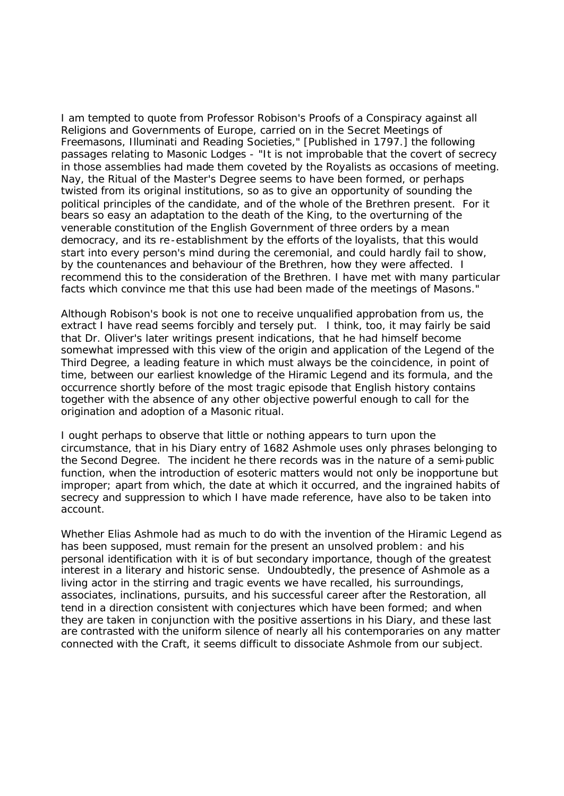I am tempted to quote from Professor Robison's Proofs of a Conspiracy against all Religions and Governments of Europe, carried on in the Secret Meetings of Freemasons, Illuminati and Reading Societies," [Published in 1797.] the following passages relating to Masonic Lodges - "It is not improbable that the covert of secrecy in those assemblies had made them coveted by the Royalists as occasions of meeting. Nay, the Ritual of the Master's Degree seems to have been formed, or perhaps twisted from its original institutions, so as to give an opportunity of sounding the political principles of the candidate, and of the whole of the Brethren present. For it bears so easy an adaptation to the death of the King, to the overturning of the venerable constitution of the English Government of three orders by a mean democracy, and its re-establishment by the efforts of the loyalists, that this would start into every person's mind during the ceremonial, and could hardly fail to show, by the countenances and behaviour of the Brethren, how they were affected. I recommend this to the consideration of the Brethren. I have met with many particular facts which convince me that this use had been made of the meetings of Masons."

Although Robison's book is not one to receive unqualified approbation from us, the extract I have read seems forcibly and tersely put. I think, too, it may fairly be said that Dr. Oliver's later writings present indications, that he had himself become somewhat impressed with this view of the origin and application of the Legend of the Third Degree, a leading feature in which must always be the coincidence, in point of time, between our earliest knowledge of the Hiramic Legend and its formula, and the occurrence shortly before of the most tragic episode that English history contains together with the absence of any other objective powerful enough to call for the origination and adoption of a Masonic ritual.

I ought perhaps to observe that little or nothing appears to turn upon the circumstance, that in his Diary entry of 1682 Ashmole uses only phrases belonging to the Second Degree. The incident he there records was in the nature of a semi-public function, when the introduction of esoteric matters would not only be inopportune but improper; apart from which, the date at which it occurred, and the ingrained habits of secrecy and suppression to which I have made reference, have also to be taken into account.

Whether Elias Ashmole had as much to do with the invention of the Hiramic Legend as has been supposed, must remain for the present an unsolved problem: and his personal identification with it is of but secondary importance, though of the greatest interest in a literary and historic sense. Undoubtedly, the presence of Ashmole as a living actor in the stirring and tragic events we have recalled, his surroundings, associates, inclinations, pursuits, and his successful career after the Restoration, all tend in a direction consistent with conjectures which have been formed; and when they are taken in conjunction with the positive assertions in his Diary, and these last are contrasted with the uniform silence of nearly all his contemporaries on any matter connected with the Craft, it seems difficult to dissociate Ashmole from our subject.